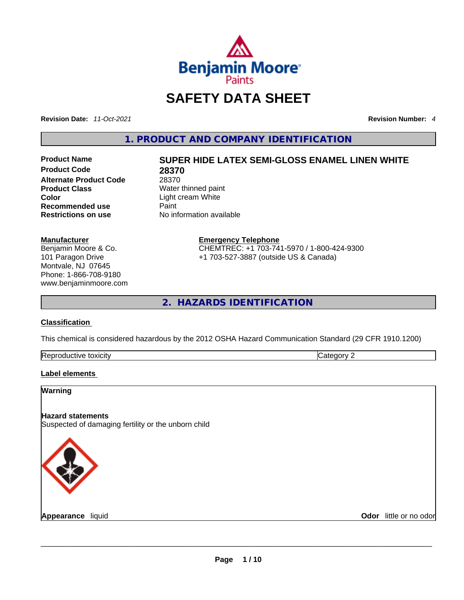

# **SAFETY DATA SHEET**

**Revision Date:** *11-Oct-2021* **Revision Number:** *4*

**1. PRODUCT AND COMPANY IDENTIFICATION** 

**Product Code 28370**<br>**Alternate Product Code** 28370 **Alternate Product Code**<br>Product Class **Product Class Server All Accept Mater thinned paint Color Color Recommended use** Paint<br> **Restrictions on use** Mo information available **Restrictions** on use

**Manufacturer** Benjamin Moore & Co. 101 Paragon Drive Montvale, NJ 07645 Phone: 1-866-708-9180 www.benjaminmoore.com

# **Product Name SUPER HIDE LATEX SEMI-GLOSS ENAMEL LINEN WHITE**

**Color** Light cream White

**Emergency Telephone** CHEMTREC: +1 703-741-5970 / 1-800-424-9300 +1 703-527-3887 (outside US & Canada)

**2. HAZARDS IDENTIFICATION** 

#### **Classification**

This chemical is considered hazardous by the 2012 OSHA Hazard Communication Standard (29 CFR 1910.1200)

| Rer<br>toxicity<br>auctive | . |
|----------------------------|---|

#### **Label elements**

| Warning                                                                         |                        |
|---------------------------------------------------------------------------------|------------------------|
| <b>Hazard statements</b><br>Suspected of damaging fertility or the unborn child |                        |
|                                                                                 |                        |
| Appearance liquid                                                               | Odor little or no odor |
|                                                                                 |                        |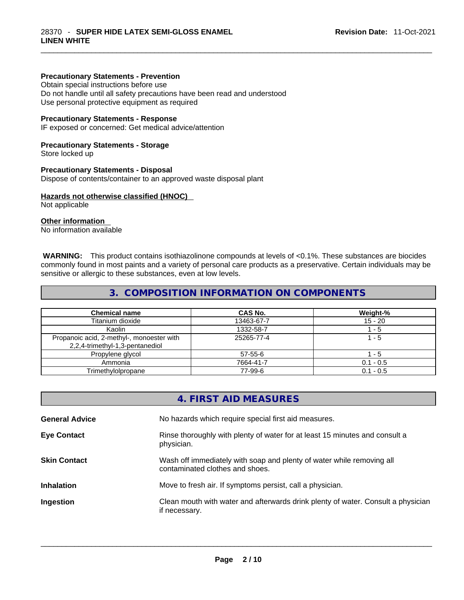#### **Precautionary Statements - Prevention**

Obtain special instructions before use

Do not handle until all safety precautions have been read and understood Use personal protective equipment as required

#### **Precautionary Statements - Response**

IF exposed or concerned: Get medical advice/attention

#### **Precautionary Statements - Storage**

Store locked up

#### **Precautionary Statements - Disposal**

Dispose of contents/container to an approved waste disposal plant

#### **Hazards not otherwise classified (HNOC)**

Not applicable

#### **Other information**

No information available

 **WARNING:** This product contains isothiazolinone compounds at levels of <0.1%. These substances are biocides commonly found in most paints and a variety of personal care products as a preservative. Certain individuals may be sensitive or allergic to these substances, even at low levels.

#### **3. COMPOSITION INFORMATION ON COMPONENTS**

| <b>Chemical name</b>                                                         | CAS No.    | Weight-%    |
|------------------------------------------------------------------------------|------------|-------------|
| Titanium dioxide                                                             | 13463-67-7 | $15 - 20$   |
| Kaolin                                                                       | 1332-58-7  | - 5         |
| Propanoic acid, 2-methyl-, monoester with<br>2,2,4-trimethyl-1,3-pentanediol | 25265-77-4 | 1 - 5       |
| Propylene glycol                                                             | 57-55-6    | - 5         |
| Ammonia                                                                      | 7664-41-7  | $0.1 - 0.5$ |
| Trimethylolpropane                                                           | 77-99-6    | $0.1 - 0.5$ |

| 4. FIRST AID MEASURES                                                                                    |
|----------------------------------------------------------------------------------------------------------|
| No hazards which require special first aid measures.                                                     |
| Rinse thoroughly with plenty of water for at least 15 minutes and consult a<br>physician.                |
| Wash off immediately with soap and plenty of water while removing all<br>contaminated clothes and shoes. |
| Move to fresh air. If symptoms persist, call a physician.                                                |
| Clean mouth with water and afterwards drink plenty of water. Consult a physician<br>if necessary.        |
|                                                                                                          |
|                                                                                                          |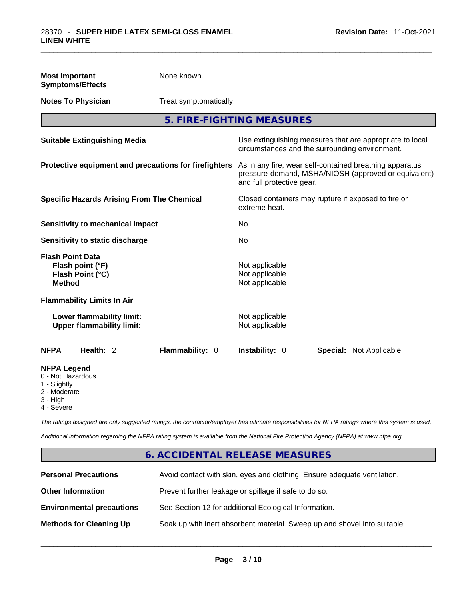| <b>Most Important</b><br><b>Symptoms/Effects</b>                                                  | None known.            |                                                                                                                                              |                                                                                                            |  |
|---------------------------------------------------------------------------------------------------|------------------------|----------------------------------------------------------------------------------------------------------------------------------------------|------------------------------------------------------------------------------------------------------------|--|
| <b>Notes To Physician</b>                                                                         | Treat symptomatically. |                                                                                                                                              |                                                                                                            |  |
|                                                                                                   |                        | 5. FIRE-FIGHTING MEASURES                                                                                                                    |                                                                                                            |  |
| <b>Suitable Extinguishing Media</b>                                                               |                        |                                                                                                                                              | Use extinguishing measures that are appropriate to local<br>circumstances and the surrounding environment. |  |
| Protective equipment and precautions for firefighters                                             |                        | As in any fire, wear self-contained breathing apparatus<br>pressure-demand, MSHA/NIOSH (approved or equivalent)<br>and full protective gear. |                                                                                                            |  |
| <b>Specific Hazards Arising From The Chemical</b>                                                 |                        | extreme heat.                                                                                                                                | Closed containers may rupture if exposed to fire or                                                        |  |
| Sensitivity to mechanical impact                                                                  |                        | No                                                                                                                                           |                                                                                                            |  |
| Sensitivity to static discharge                                                                   |                        | No.                                                                                                                                          |                                                                                                            |  |
| <b>Flash Point Data</b><br>Flash point (°F)<br>Flash Point (°C)<br><b>Method</b>                  |                        | Not applicable<br>Not applicable<br>Not applicable                                                                                           |                                                                                                            |  |
| <b>Flammability Limits In Air</b>                                                                 |                        |                                                                                                                                              |                                                                                                            |  |
| Lower flammability limit:<br><b>Upper flammability limit:</b>                                     |                        | Not applicable<br>Not applicable                                                                                                             |                                                                                                            |  |
| Health: 2<br><b>NFPA</b>                                                                          | Flammability: 0        | Instability: 0                                                                                                                               | Special: Not Applicable                                                                                    |  |
| <b>NFPA Legend</b><br>0 - Not Hazardous<br>1 - Slightly<br>2 - Moderate<br>3 - High<br>4 - Severe |                        |                                                                                                                                              |                                                                                                            |  |

*The ratings assigned are only suggested ratings, the contractor/employer has ultimate responsibilities for NFPA ratings where this system is used.* 

*Additional information regarding the NFPA rating system is available from the National Fire Protection Agency (NFPA) at www.nfpa.org.* 

# **6. ACCIDENTAL RELEASE MEASURES**

| <b>Personal Precautions</b>      | Avoid contact with skin, eyes and clothing. Ensure adequate ventilation. |
|----------------------------------|--------------------------------------------------------------------------|
| <b>Other Information</b>         | Prevent further leakage or spillage if safe to do so.                    |
| <b>Environmental precautions</b> | See Section 12 for additional Ecological Information.                    |
| <b>Methods for Cleaning Up</b>   | Soak up with inert absorbent material. Sweep up and shovel into suitable |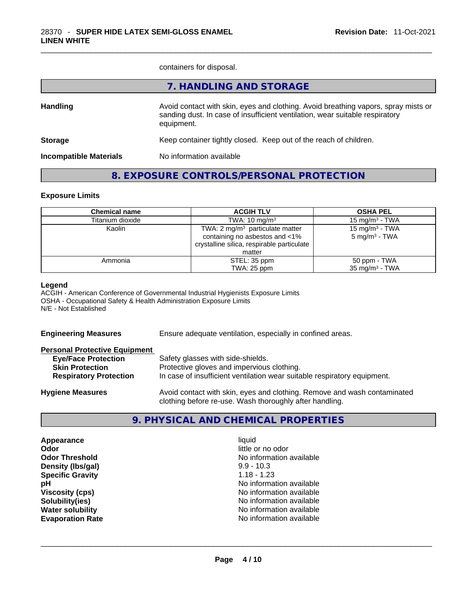containers for disposal.

|                               | 7. HANDLING AND STORAGE                                                                                                                                                          |
|-------------------------------|----------------------------------------------------------------------------------------------------------------------------------------------------------------------------------|
| <b>Handling</b>               | Avoid contact with skin, eyes and clothing. Avoid breathing vapors, spray mists or<br>sanding dust. In case of insufficient ventilation, wear suitable respiratory<br>equipment. |
| <b>Storage</b>                | Keep container tightly closed. Keep out of the reach of children.                                                                                                                |
| <b>Incompatible Materials</b> | No information available                                                                                                                                                         |
|                               |                                                                                                                                                                                  |

# **8. EXPOSURE CONTROLS/PERSONAL PROTECTION**

#### **Exposure Limits**

| <b>Chemical name</b> | <b>ACGIH TLV</b>                           | <b>OSHA PEL</b>            |
|----------------------|--------------------------------------------|----------------------------|
| Titanium dioxide     | TWA: $10 \text{ mg/m}^3$                   | 15 mg/m $3$ - TWA          |
| Kaolin               | TWA: $2 \text{ mg/m}^3$ particulate matter | 15 mg/m <sup>3</sup> - TWA |
|                      | containing no asbestos and <1%             | $5 \text{ mg/m}^3$ - TWA   |
|                      | crystalline silica, respirable particulate |                            |
|                      | matter                                     |                            |
| Ammonia              | STEL: 35 ppm                               | 50 ppm - TWA               |
|                      | TWA: 25 ppm                                | $35 \text{ mg/m}^3$ - TWA  |

#### **Legend**

ACGIH - American Conference of Governmental Industrial Hygienists Exposure Limits OSHA - Occupational Safety & Health Administration Exposure Limits N/E - Not Established

| <b>Engineering Measures</b>          | Ensure adequate ventilation, especially in confined areas.               |  |  |
|--------------------------------------|--------------------------------------------------------------------------|--|--|
| <b>Personal Protective Equipment</b> |                                                                          |  |  |
| <b>Eye/Face Protection</b>           | Safety glasses with side-shields.                                        |  |  |
| <b>Skin Protection</b>               | Protective gloves and impervious clothing.                               |  |  |
| <b>Respiratory Protection</b>        | In case of insufficient ventilation wear suitable respiratory equipment. |  |  |
| <b>Hygiene Measures</b>              | Avoid contact with skin, eyes and clothing. Remove and wash contaminated |  |  |

# **9. PHYSICAL AND CHEMICAL PROPERTIES**

clothing before re-use. Wash thoroughly after handling.

**Appearance** liquid **Odor**<br> **Odor Threshold**<br> **Odor Threshold CODOR CODOR CODOR CODOR CODOR CODOR CODOR CODOR CODOR CODOR CODOR CODOR CODOR Density (Ibs/gal)** 9.9 - 10.3<br> **Specific Gravity** 1.18 - 1.23 **Specific Gravity** 

**No information available pH pH No** information available **Viscosity (cps) Viscosity (cps) No information available Solubility(ies)** No information available **Water solubility**  No information available **Evaporation Rate** No information available \_\_\_\_\_\_\_\_\_\_\_\_\_\_\_\_\_\_\_\_\_\_\_\_\_\_\_\_\_\_\_\_\_\_\_\_\_\_\_\_\_\_\_\_\_\_\_\_\_\_\_\_\_\_\_\_\_\_\_\_\_\_\_\_\_\_\_\_\_\_\_\_\_\_\_\_\_\_\_\_\_\_\_\_\_\_\_\_\_\_\_\_\_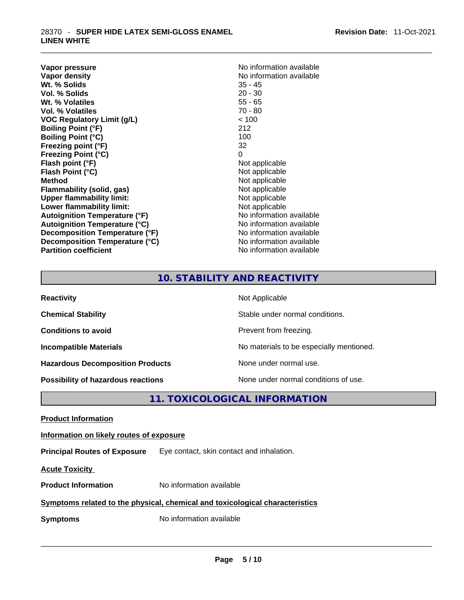**Vapor pressure Vapor pressure No information available Vapor density**<br> **We Solids**<br>
We Solids
25 - 45 **Wt. % Solids** 35 - 45 **Vol. % Solids Wt. % Volatiles** 55 - 65 **Vol. % Volatiles** 70 - 80 **VOC Regulatory Limit (g/L)** < 100 **Boiling Point (°F)** 212 **Boiling Point (°C) Freezing point (°F)** 32 **Freezing Point (°C)** 0<br> **Flash point (°F)** 0<br>
Not applicable **Flash point (°F)**<br> **Flash Point (°C)**<br> **Flash Point (°C)**<br> **Complicate State Additional Point (°C)**<br> **Not** applicable **Flash Point (°C) Method**<br> **Plammability (solid, gas)**<br> **Plammability (solid, gas)**<br> **Not** applicable **Flammability** (solid, gas) **Upper flammability limit:** Not applicable **Lower flammability limit:**<br> **Autoignition Temperature (°F)**<br>
Mo information available **Autoignition Temperature (°F) Autoignition Temperature (°C)** No information available **Decomposition Temperature (°F)** No information available **Decomposition Temperature (°C)** No information available **Partition coefficient** No information available

# **10. STABILITY AND REACTIVITY**

| <b>Reactivity</b>                         | Not Applicable                           |
|-------------------------------------------|------------------------------------------|
| <b>Chemical Stability</b>                 | Stable under normal conditions.          |
| <b>Conditions to avoid</b>                | Prevent from freezing.                   |
| <b>Incompatible Materials</b>             | No materials to be especially mentioned. |
| <b>Hazardous Decomposition Products</b>   | None under normal use.                   |
| <b>Possibility of hazardous reactions</b> | None under normal conditions of use.     |

**11. TOXICOLOGICAL INFORMATION** 

**Product Information Information on likely routes of exposure Principal Routes of Exposure** Eye contact, skin contact and inhalation. **Acute Toxicity Product Information** No information available **Symptoms related to the physical, chemical and toxicological characteristics Symptoms** No information available **Notifically and the set of the set of the set of the set of the set of the set of the set of the set of the set of the set of the set of the set of the set of the set of the set of the**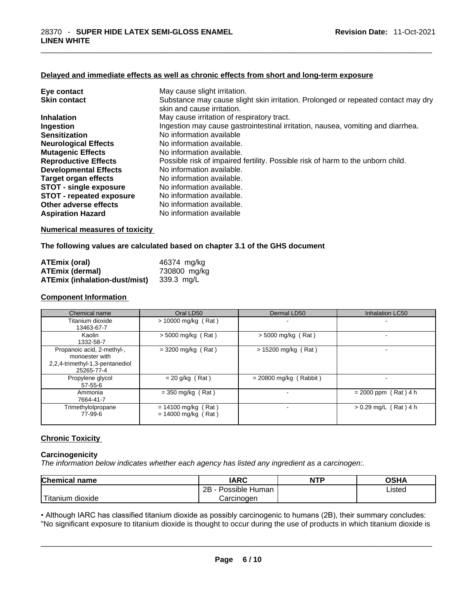#### **Delayed and immediate effects as well as chronic effects from short and long-term exposure**

| Eye contact                     | May cause slight irritation.                                                      |
|---------------------------------|-----------------------------------------------------------------------------------|
| <b>Skin contact</b>             | Substance may cause slight skin irritation. Prolonged or repeated contact may dry |
|                                 | skin and cause irritation.                                                        |
| <b>Inhalation</b>               | May cause irritation of respiratory tract.                                        |
| Ingestion                       | Ingestion may cause gastrointestinal irritation, nausea, vomiting and diarrhea.   |
| <b>Sensitization</b>            | No information available                                                          |
| <b>Neurological Effects</b>     | No information available.                                                         |
| <b>Mutagenic Effects</b>        | No information available.                                                         |
| <b>Reproductive Effects</b>     | Possible risk of impaired fertility. Possible risk of harm to the unborn child.   |
| <b>Developmental Effects</b>    | No information available.                                                         |
| Target organ effects            | No information available.                                                         |
| <b>STOT - single exposure</b>   | No information available.                                                         |
| <b>STOT - repeated exposure</b> | No information available.                                                         |
| Other adverse effects           | No information available.                                                         |
| <b>Aspiration Hazard</b>        | No information available                                                          |

#### **Numerical measures of toxicity**

#### **The following values are calculated based on chapter 3.1 of the GHS document**

| <b>ATEmix (oral)</b>                 | 46374 mg/kg  |
|--------------------------------------|--------------|
| <b>ATEmix (dermal)</b>               | 730800 mg/kg |
| <b>ATEmix (inhalation-dust/mist)</b> | 339.3 mg/L   |

### **Component Information**

| Chemical name                                                                                 | Oral LD50                                      | Dermal LD50              | Inhalation LC50         |
|-----------------------------------------------------------------------------------------------|------------------------------------------------|--------------------------|-------------------------|
| Titanium dioxide<br>13463-67-7                                                                | > 10000 mg/kg (Rat)                            |                          |                         |
| Kaolin<br>1332-58-7                                                                           | $> 5000$ mg/kg (Rat)                           | $>$ 5000 mg/kg (Rat)     |                         |
| Propanoic acid, 2-methyl-,<br>monoester with<br>2,2,4-trimethyl-1,3-pentanediol<br>25265-77-4 | $=$ 3200 mg/kg (Rat)                           | > 15200 mg/kg (Rat)      |                         |
| Propylene glycol<br>$57 - 55 - 6$                                                             | $= 20$ g/kg (Rat)                              | $= 20800$ mg/kg (Rabbit) |                         |
| Ammonia<br>7664-41-7                                                                          | $=$ 350 mg/kg (Rat)                            |                          | $= 2000$ ppm (Rat) 4 h  |
| Trimethylolpropane<br>77-99-6                                                                 | $= 14100$ mg/kg (Rat)<br>$= 14000$ mg/kg (Rat) |                          | $> 0.29$ mg/L (Rat) 4 h |

#### **Chronic Toxicity**

#### **Carcinogenicity**

*The information below indicates whether each agency has listed any ingredient as a carcinogen:.* 

| <b>Chemical name</b>    | IARC                 | <b>NTP</b> | OSHA   |
|-------------------------|----------------------|------------|--------|
|                         | Possible Human<br>2Β |            | ∟isted |
| ` Titanium 、<br>dioxide | Carcinoɑen           |            |        |

Titanium dioxide<br>
Carcinogen<br>
Carcinogen<br>
Carcinogen Listed<br>
Carcinogen Carcinogen Listed<br>
Carcinogen Carcinogen Listed<br>
Carcinogen Listed<br>
Carcinogen Listed<br>
Carcinogen Listed<br>
Carcinogen Listed<br>
Carcinogen Listed<br>
Carcin • Although IARC has classified titanium dioxide as possibly carcinogenic to humans (2B), their summary concludes: "No significant exposure to titanium dioxide is thought to occur during the use of products in which titanium dioxide is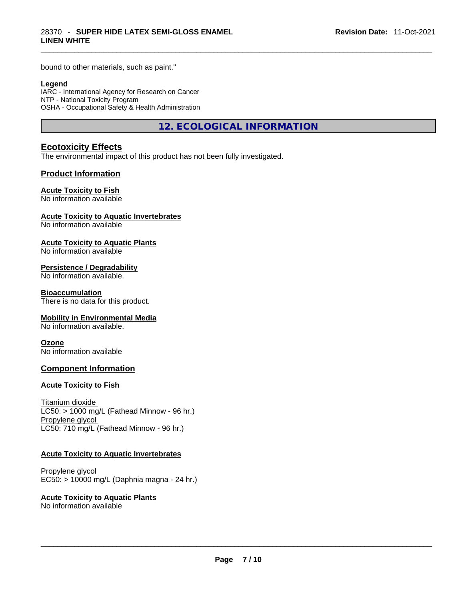bound to other materials, such as paint."

#### **Legend**

IARC - International Agency for Research on Cancer NTP - National Toxicity Program OSHA - Occupational Safety & Health Administration

**12. ECOLOGICAL INFORMATION** 

### **Ecotoxicity Effects**

The environmental impact of this product has not been fully investigated.

#### **Product Information**

#### **Acute Toxicity to Fish**

No information available

#### **Acute Toxicity to Aquatic Invertebrates**

No information available

#### **Acute Toxicity to Aquatic Plants**

No information available

#### **Persistence / Degradability**

No information available.

#### **Bioaccumulation**

There is no data for this product.

#### **Mobility in Environmental Media**

No information available.

#### **Ozone**

No information available

#### **Component Information**

#### **Acute Toxicity to Fish**

Titanium dioxide  $LC50:$  > 1000 mg/L (Fathead Minnow - 96 hr.) Propylene glycol LC50: 710 mg/L (Fathead Minnow - 96 hr.)

#### **Acute Toxicity to Aquatic Invertebrates**

Propylene glycol EC50: > 10000 mg/L (Daphnia magna - 24 hr.)

#### **Acute Toxicity to Aquatic Plants**

No information available \_\_\_\_\_\_\_\_\_\_\_\_\_\_\_\_\_\_\_\_\_\_\_\_\_\_\_\_\_\_\_\_\_\_\_\_\_\_\_\_\_\_\_\_\_\_\_\_\_\_\_\_\_\_\_\_\_\_\_\_\_\_\_\_\_\_\_\_\_\_\_\_\_\_\_\_\_\_\_\_\_\_\_\_\_\_\_\_\_\_\_\_\_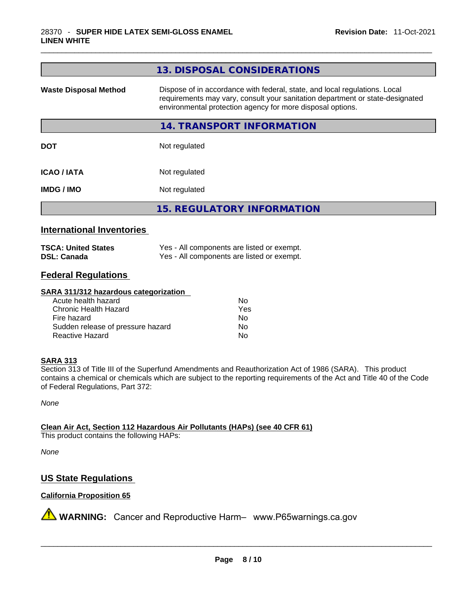| Dispose of in accordance with federal, state, and local regulations. Local<br><b>Waste Disposal Method</b><br>requirements may vary, consult your sanitation department or state-designated<br>environmental protection agency for more disposal options. |
|-----------------------------------------------------------------------------------------------------------------------------------------------------------------------------------------------------------------------------------------------------------|
|                                                                                                                                                                                                                                                           |
| 14. TRANSPORT INFORMATION                                                                                                                                                                                                                                 |
| Not regulated<br><b>DOT</b>                                                                                                                                                                                                                               |
| <b>ICAO/IATA</b><br>Not regulated                                                                                                                                                                                                                         |
| Not regulated<br><b>IMDG/IMO</b>                                                                                                                                                                                                                          |
| <b>15. REGULATORY INFORMATION</b>                                                                                                                                                                                                                         |

# **International Inventories**

| <b>TSCA: United States</b> | Yes - All components are listed or exempt. |
|----------------------------|--------------------------------------------|
| <b>DSL: Canada</b>         | Yes - All components are listed or exempt. |

# **Federal Regulations**

#### **SARA 311/312 hazardous categorization**

| Acute health hazard               | Nο  |
|-----------------------------------|-----|
| Chronic Health Hazard             | Yes |
| Fire hazard                       | N٥  |
| Sudden release of pressure hazard | No  |
| Reactive Hazard                   | N٥  |

#### **SARA 313**

Section 313 of Title III of the Superfund Amendments and Reauthorization Act of 1986 (SARA). This product contains a chemical or chemicals which are subject to the reporting requirements of the Act and Title 40 of the Code of Federal Regulations, Part 372:

*None*

**Clean Air Act,Section 112 Hazardous Air Pollutants (HAPs) (see 40 CFR 61)** This product contains the following HAPs:

*None*

# **US State Regulations**

# **California Proposition 65**

**A** WARNING: Cancer and Reproductive Harm– www.P65warnings.ca.gov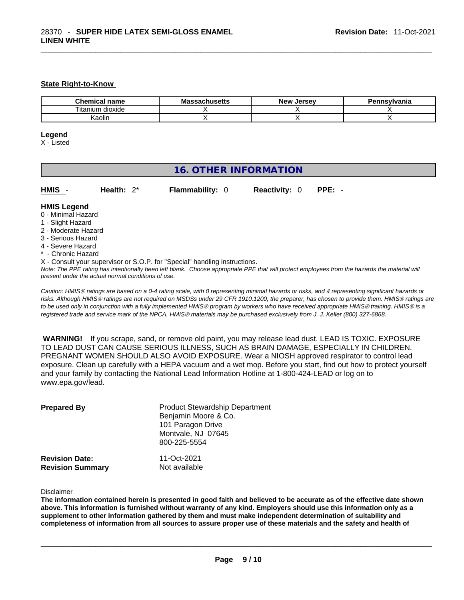#### **State Right-to-Know**

| <b>Chemical</b><br>name | Massachusetts | Jersev<br><b>Nev</b> | Pennsylvania |
|-------------------------|---------------|----------------------|--------------|
| <br>dioxide<br>litanium |               |                      |              |
| (aolin                  |               |                      |              |

#### **Legend**

X - Listed

# **16. OTHER INFORMATION**

| HMIS - | Health: $2^*$ | <b>Flammability: 0</b> | <b>Reactivity: 0 PPE: -</b> |  |
|--------|---------------|------------------------|-----------------------------|--|
|        |               |                        |                             |  |

#### **HMIS Legend**

- 0 Minimal Hazard
- 1 Slight Hazard
- 2 Moderate Hazard
- 3 Serious Hazard
- 4 Severe Hazard
- \* Chronic Hazard
- X Consult your supervisor or S.O.P. for "Special" handling instructions.

Note: The PPE rating has intentionally been left blank. Choose appropriate PPE that will protect employees from the hazards the material will *present under the actual normal conditions of use.* 

*Caution: HMISÒ ratings are based on a 0-4 rating scale, with 0 representing minimal hazards or risks, and 4 representing significant hazards or risks. Although HMISÒ ratings are not required on MSDSs under 29 CFR 1910.1200, the preparer, has chosen to provide them. HMISÒ ratings are to be used only in conjunction with a fully implemented HMISÒ program by workers who have received appropriate HMISÒ training. HMISÒ is a registered trade and service mark of the NPCA. HMISÒ materials may be purchased exclusively from J. J. Keller (800) 327-6868.* 

 **WARNING!** If you scrape, sand, or remove old paint, you may release lead dust. LEAD IS TOXIC. EXPOSURE TO LEAD DUST CAN CAUSE SERIOUS ILLNESS, SUCH AS BRAIN DAMAGE, ESPECIALLY IN CHILDREN. PREGNANT WOMEN SHOULD ALSO AVOID EXPOSURE.Wear a NIOSH approved respirator to control lead exposure. Clean up carefully with a HEPA vacuum and a wet mop. Before you start, find out how to protect yourself and your family by contacting the National Lead Information Hotline at 1-800-424-LEAD or log on to www.epa.gov/lead.

| <b>Prepared By</b>                               | <b>Product Stewardship Department</b><br>Benjamin Moore & Co.<br>101 Paragon Drive<br>Montvale, NJ 07645<br>800-225-5554 |  |  |
|--------------------------------------------------|--------------------------------------------------------------------------------------------------------------------------|--|--|
| <b>Revision Date:</b><br><b>Revision Summary</b> | 11-Oct-2021<br>Not available                                                                                             |  |  |

Disclaimer

The information contained herein is presented in good faith and believed to be accurate as of the effective date shown above. This information is furnished without warranty of any kind. Employers should use this information only as a **supplement to other information gathered by them and must make independent determination of suitability and** completeness of information from all sources to assure proper use of these materials and the safety and health of